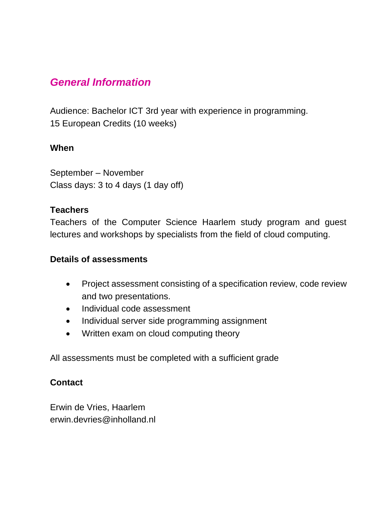### *General Information*

Audience: Bachelor ICT 3rd year with experience in programming. 15 European Credits (10 weeks)

### **When**

September – November Class days: 3 to 4 days (1 day off)

### **Teachers**

Teachers of the Computer Science Haarlem study program and guest lectures and workshops by specialists from the field of cloud computing.

#### **Details of assessments**

- Project assessment consisting of a specification review, code review and two presentations.
- Individual code assessment
- Individual server side programming assignment
- Written exam on cloud computing theory

All assessments must be completed with a sufficient grade

### **Contact**

Erwin de Vries, Haarlem erwin.devries@inholland.nl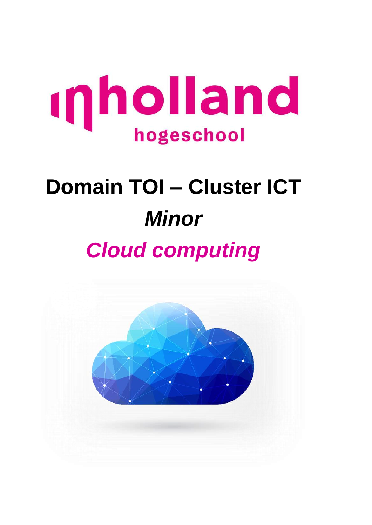

# **Domain TOI – Cluster ICT** *Minor Cloud computing*

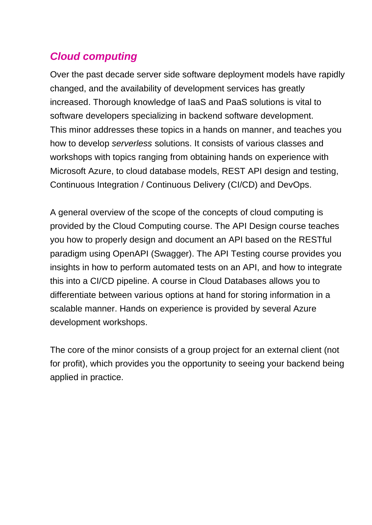## *Cloud computing*

Over the past decade server side software deployment models have rapidly changed, and the availability of development services has greatly increased. Thorough knowledge of IaaS and PaaS solutions is vital to software developers specializing in backend software development. This minor addresses these topics in a hands on manner, and teaches you how to develop *serverless* solutions. It consists of various classes and workshops with topics ranging from obtaining hands on experience with Microsoft Azure, to cloud database models, REST API design and testing, Continuous Integration / Continuous Delivery (CI/CD) and DevOps.

A general overview of the scope of the concepts of cloud computing is provided by the Cloud Computing course. The API Design course teaches you how to properly design and document an API based on the RESTful paradigm using OpenAPI (Swagger). The API Testing course provides you insights in how to perform automated tests on an API, and how to integrate this into a CI/CD pipeline. A course in Cloud Databases allows you to differentiate between various options at hand for storing information in a scalable manner. Hands on experience is provided by several Azure development workshops.

The core of the minor consists of a group project for an external client (not for profit), which provides you the opportunity to seeing your backend being applied in practice.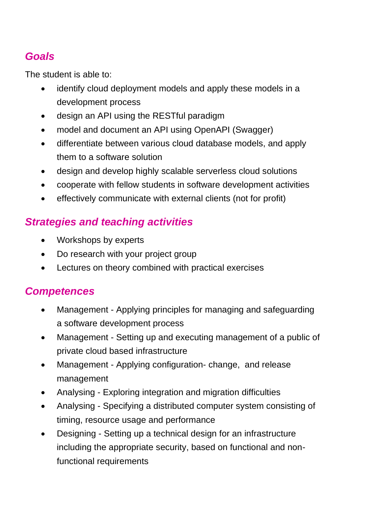## *Goals*

The student is able to:

- identify cloud deployment models and apply these models in a development process
- design an API using the RESTful paradigm
- model and document an API using OpenAPI (Swagger)
- differentiate between various cloud database models, and apply them to a software solution
- design and develop highly scalable serverless cloud solutions
- cooperate with fellow students in software development activities
- effectively communicate with external clients (not for profit)

## *Strategies and teaching activities*

- Workshops by experts
- Do research with your project group
- Lectures on theory combined with practical exercises

## *Competences*

- Management Applying principles for managing and safeguarding a software development process
- Management Setting up and executing management of a public of private cloud based infrastructure
- Management Applying configuration- change, and release management
- Analysing Exploring integration and migration difficulties
- Analysing Specifying a distributed computer system consisting of timing, resource usage and performance
- Designing Setting up a technical design for an infrastructure including the appropriate security, based on functional and nonfunctional requirements